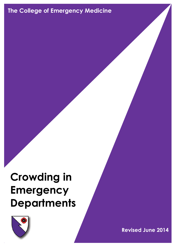# **The College of Emergency Medicine**

# **Crowding in Emergency Departments**



**Crowding in the ED (Revised June 2014**) 1 and 2014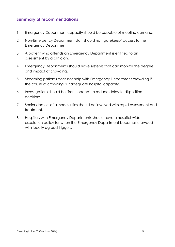## **Summary of recommendations**

- 1. Emergency Department capacity should be capable of meeting demand.
- 2. Non-Emergency Department staff should not 'gatekeep' access to the Emergency Department.
- 3. A patient who attends an Emergency Department is entitled to an assessment by a clinician.
- 4. Emergency Departments should have systems that can monitor the degree and impact of crowding.
- 5. Streaming patients does not help with Emergency Department crowding if the cause of crowding is inadequate hospital capacity.
- 6. Investigations should be 'front loaded' to reduce delay to disposition decisions.
- 7. Senior doctors of all specialities should be involved with rapid assessment and treatment.
- 8. Hospitals with Emergency Departments should have a hospital wide escalation policy for when the Emergency Department becomes crowded with locally agreed triggers.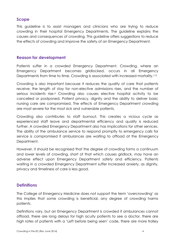## **Scope**

This guideline is to assist managers and clinicians who are trying to reduce crowding in their hospital Emergency Departments. The guideline explains the causes and consequences of crowding. This guideline offers suggestions to reduce the effects of crowding and improve the safety of an Emergency Department.

#### **Reason for development**

Patients suffer in a crowded Emergency Department. Crowding, where an Emergency Department becomes gridlocked, occurs in all Emergency Departments from time to time. Crowding is associated with increased mortality.<sup>1-5</sup>

Crowding is also important because it reduces the quality of care that patients receive; the length of stay for non-elective admissions rises, and the number of serious incidents rise.<sup>6</sup> Crowding also causes elective hospital activity to be cancelled or postponed. Patient privacy, dignity and the ability to deliver basic nursing care are compromised. The effects of Emergency Department crowding are most severe for the most sick and vulnerable patients.

Crowding also contributes to staff burnout. This creates a vicious cycle as experienced staff leave and departmental efficiency and quality is reduced further. A crowded Emergency Department also has implications for other services. The ability of the ambulance service to respond promptly to emergency calls for service is compromised if ambulances are waiting to offload at the Emergency Department.

However, it should be recognised that the degree of crowding forms a continuum and lower levels of crowding, short of that which causes gridlock, may have an adverse effect upon Emergency Department safety and efficiency. Patients waiting in a crowded Emergency Department suffer increased anxiety, as dignity, privacy and timeliness of care is less good.

## **Definitions**

The College of Emergency Medicine does not support the term 'overcrowding' as this implies that some crowding is beneficial, any degree of crowding harms patients.

Definitions vary, but an Emergency Department is crowded if ambulances cannot offload, there are long delays for high acuity patients to see a doctor, there are high rates of patients with a 'Left before being seen' code, there are more trolley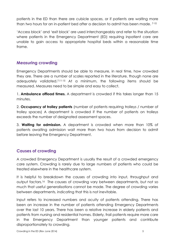patients in the ED than there are cubicle spaces, or if patients are waiting more than two hours for an in-patient bed after a decision to admit has been made. 7-10

'Access block' and 'exit block' are used interchangeably and refer to the situation where patients in the Emergency Department (ED) requiring inpatient care are unable to gain access to appropriate hospital beds within a reasonable time frame.

## **Measuring crowding**

Emergency Departments should be able to measure, in real time, how crowded they are. There are a number of scales reported in the literature, though none are adequately validated.7;11-15 At a minimum, the following items should be measured. Measures need to be simple and easy to collect.

1. **Ambulance offload times.** A department is crowded if this takes longer than 15 minutes.

2. **Occupancy of trolley patients** (number of patients requiring trolleys / number of trolley spaces) A department is crowded if the number of patients on trolleys exceeds the number of designated assessment spaces.

3. **Waiting for admission.** A department is crowded when more than 10% of patients awaiting admission wait more than two hours from decision to admit before leaving the Emergency Department.

## **Causes of crowding**

A crowded Emergency Department is usually the result of a crowded emergency care system. Crowding is rarely due to large numbers of patients who could be treated elsewhere in the healthcare system.

It is helpful to breakdown the causes of crowding into input, throughput and output factors.16 The causes of crowding vary between departments, but not so much that useful generalisations cannot be made. The degree of crowding varies between departments, indicating that this is not inevitable.

Input refers to increased numbers and acuity of patients attending. There has been an increase in the number of patients attending Emergency Departments over the last 10 years. There has been a relative increase in elderly patients and patients from nursing and residential homes. Elderly, frail patients require more care in the Emergency Department than younger patients and contribute disproportionately to crowding.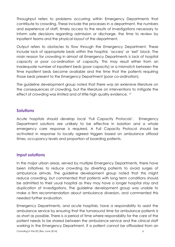Throughput refers to problems occurring within Emergency Departments that contribute to crowding. These include the processes in a department, the numbers and experience of staff, timely access to the results of investigations necessary to inform safe decisions regarding admission or discharge, the time to review by inpatient teams and the physical layout of the department.

Output refers to obstacles to flow through the Emergency Department. These include lack of appropriate beds within the hospital, 'access' or 'exit' block. The main reason for crowding in almost all Emergency Departments is lack of hospital capacity or poor co-ordination of capacity. This may result either from an inadequate number of inpatient beds (poor capacity) or a mismatch between the time inpatient beds become available and the time that the patients requiring those beds present to the Emergency Department (poor co-ordination).

The guideline development group noted that there was an extensive literature on the consequences of crowding, but the literature on interventions to mitigate the effect of crowding was limited and of little high quality evidence. <sup>17</sup>

## **Solutions**

Acute hospitals should develop local 'Full Capacity Protocols'. Emergency Department solutions are unlikely to be effective in isolation and a whole emergency care response is required. A Full Capacity Protocol should be activated in response to locally agreed triggers based on ambulance offload times, occupancy levels and proportion of boarding patients.

## **Input solutions**

In the major urban areas, served by multiple Emergency Departments, there have been initiatives to reduce crowding by diverting patients to avoid surges of ambulance arrivals. The guideline development group noted that this might reduce crowding, but commented that patients with long term conditions should be admitted to their usual hospital as they may have a longer hospital stay and duplication of investigations. The guideline development group was unable to make a firm recommendation about ambulance diversion, and commented this needed further evaluation.

Crowding in the ED (Rev June 2014) 6 Emergency Departments, and acute hospitals, have a responsibility to assist the ambulance service by ensuring that the turnaround time for ambulance patients is as short as possible. There is a period of time where responsibility for the care of the patient needs to be shared between the ambulance service and the clinical staff working in the Emergency Department. If a patient cannot be offloaded from an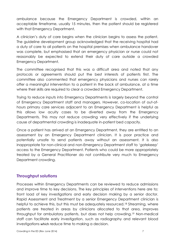ambulance because the Emergency Department is crowded, within an acceptable timeframe, usually 15 minutes, then the patient should be registered with that Emergency Department.

A clinician's duty of care begins when the clinician begins to assess the patient. The guideline development group acknowledged that the receiving hospital had a duty of care to all patients on the hospital premises when ambulance handover was complete, but emphasised that an emergency physician or nurse could not reasonably be expected to extend their duty of care outside a crowded Emergency Department.

The committee recognised that this was a difficult area and noted that any protocols or agreements should put the best interests of patients first. The committee also commented that emergency physicians and nurses can rarely offer a meaningful intervention to a patient in the back of ambulance, at a time where their skills are required to clear a crowded Emergency Department.

Trying to reduce inputs into Emergency Departments is largely beyond the control of Emergency Department staff and managers. However, co-location of out-ofhours primary care services adjacent to an Emergency Department is helpful as this allows low acuity cases to be diverted away from the Emergency Departments. This may not reduce crowding very effectively if the underlying cause of departmental crowding is inadequate in-patient bed capacity.

Once a patient has arrived at an Emergency Department, they are entitled to an assessment by an Emergency Department clinician. It is poor practice and potentially unsafe to send patients away without an assessment. It is also inappropriate for non-clinical and non-Emergency Department staff to 'gatekeep' access to the Emergency Department. Patients who could be more appropriately treated by a General Practitioner do not contribute very much to Emergency Department crowding.

## **Throughput solutions**

Processes within Emergency Departments can be reviewed to reduce admissions and improve time to key decisions. The key principles of interventions here are to; front load of key investigations and early decision making by a senior doctor. Rapid Assessment and Treatment by a senior Emergency Department clinician is helpful to achieve this, but this must be adequately resourced.<sup>18</sup> Streaming, where patients are treated in areas by clinicians allocated to that area, improves throughput for ambulatory patients, but does not help crowding.<sup>19</sup> Non-medical staff can facilitate early investigation, such as radiography and relevant blood investigations which reduce time to making a decision.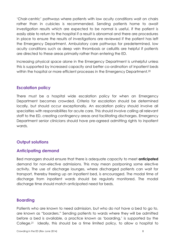'Chair-centric' pathways where patients with low acuity conditions wait on chairs rather than in cubicles is recommended. Sending patients home to await investigation results which are expected to be normal is useful, if the patient is easily able to return to the hospital if a result is abnormal and there are procedures in place to ensure the results of investigations are reviewed if the patient has left the Emergency Department. Ambulatory care pathways for predetermined, low acuity conditions such as deep vein thrombosis or cellulitis are helpful if patients are directed to these areas primarily rather than entering the ED.

Increasing physical space alone in the Emergency Department is unhelpful unless this is supported by increased capacity and better co-ordination of inpatient beds within the hospital or more efficient processes in the Emergency Department. <sup>20</sup>

#### **Escalation policy**

There must be a hospital wide escalation policy for when an Emergency Department becomes crowded. Criteria for escalation should be determined locally, but should occur exceptionally. An escalation policy should involve all specialties with responsibilities for acute care. This should involve calling all relevant staff to the ED, creating contingency areas and facilitating discharges. Emergency Department senior clinicians should have pre-agreed admitting rights to inpatient wards.

## **Output solutions**

## **Anticipating demand**

Bed managers should ensure that there is adequate capacity to meet **anticipated** demand for non-elective admissions. This may mean postponing some elective activity. The use of discharge lounges, where discharged patients can wait for transport, thereby freeing up an inpatient bed, is encouraged. The modal time of discharge from inpatient wards should be regularly monitored. The modal discharge time should match anticipated need for beds.

## **Boarding**

Patients who are known to need admission, but who do not have a bed to go to, are known as "boarders." Sending patients to wards where they will be admitted before a bed is available, a practice known as 'boarding,' is supported by the College.21 Ideally, this should be a time limited policy, to allow a hospital to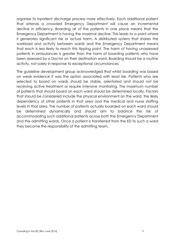organise its inpatient discharge process more effectively. Each additional patient that attends a crowded Emergency Department will cause an incremental decline in efficiency. Boarding all of the patients in one place means that the Emergency Department is having the maximal decline. This leads to a point where it generates significant risk or actual harm. A distributed system that shares the workload and activity between wards and the Emergency Department means that each is less likely to reach this tipping point. The harm of having unassessed patients in ambulances is greater than the harm of boarding patients who have been assessed by a Doctor on their destination ward. Boarding should be a routine activity, not solely in response to exceptional circumstances.

The guideline development group acknowledged that whilst boarding was based on weak evidence it was the option associated with least risk. Patients who are selected to board on wards should be stable, orientated and should not be receiving active treatment or require intensive monitoring. The maximum number of patients that should board on each ward should be determined locally. Factors that should be considered include the physical environment on the ward, the likely dependency of other patients in that area and the medical and nurse staffing levels in that area. The number of patients actually boarded on each ward should be determined dynamically and should aim to balance the risk of accommodating such additional patients across both the Emergency Department and the admitting wards. Once a patient is transferred from the ED to such a ward they become the responsibility of the admitting team.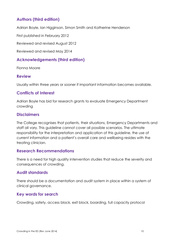## **Authors (third edition)**

Adrian Boyle, Ian Higginson, Simon Smith and Katherine Henderson

First published in February 2012

Reviewed and revised August 2012

Reviewed and revised May 2014

## **Acknowledgements (third edition)**

Fionna Moore

#### **Review**

Usually within three years or sooner if important information becomes available.

## **Conflicts of Interest**

Adrian Boyle has bid for research grants to evaluate Emergency Department crowding

#### **Disclaimers**

The College recognises that patients, their situations, Emergency Departments and staff all vary. This guideline cannot cover all possible scenarios. The ultimate responsibility for the interpretation and application of this guideline, the use of current information and a patient's overall care and wellbeing resides with the treating clinician.

#### **Research Recommendations**

There is a need for high quality intervention studies that reduce the severity and consequences of crowding.

## **Audit standards**

There should be a documentation and audit system in place within a system of clinical governance.

## **Key words for search**

Crowding, safety, access block, exit block, boarding, full capacity protocol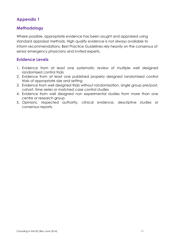## **Appendix 1**

## **Methodology**

Where possible, appropriate evidence has been sought and appraised using standard appraisal methods. High quality evidence is not always available to inform recommendations. Best Practice Guidelines rely heavily on the consensus of senior emergency physicians and invited experts.

## **Evidence Levels**

- 1. Evidence from at least one systematic review of multiple well designed randomised control trials
- 2. Evidence from at least one published properly designed randomised control trials of appropriate size and setting
- 3. Evidence from well designed trials without randomisation, single group pre/post, cohort, time series or matched case control studies
- 4. Evidence from well designed non experimental studies from more than one centre or research group
- 5. Opinions, respected authority, clinical evidence, descriptive studies or consensus reports.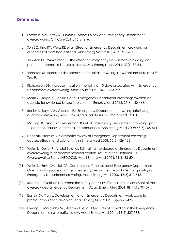#### **References**

- (1) Forero R, McCarthy S, Hillman K. Access block and Emergency Department overcrowding. Crit Care 2011; 15(2):216.
- (2) Sun BC, Hsia RY, Weiss RE et al. Effect of Emergency Department crowding on outcomes of admitted patients. Ann Emerg Med 2013; 61(6):605-611.
- (3) Johnson KD, Winkelman C. The effect of Emergency Department crowding on patient outcomes: a literature review. Adv Emerg Nurs J 2011; 33(1):39-54.
- (4) Johnston M. Hundreds die because of hospital crowding. New Zealand Herald 2008 Sep 8.
- (5) Richardson DB. Increase in patient mortality at 10 days associated with Emergency Department overcrowding. Med J Aust 2006; 184(5):213-216.
- (6) Morris ZS, Boyle A, Beniuk K et al. Emergency Department crowding: towards an agenda for evidence-based intervention. Emerg Med J 2012; 29(6):460-466.
- (7) Beniuk K, Boyle AA, Clarkson PJ. Emergency Department crowding: prioritising quantified crowding measures using a Delphi study. Emerg Med J 2011.
- (8) Moskop JC, Sklar DP, Geiderman JM et al. Emergency Department crowding, part 1--concept, causes, and moral consequences. Ann Emerg Med 2009; 53(5):605-611.
- (9) Hoot NR, Aronsky D. Systematic review of Emergency Department crowding: causes, effects, and solutions. Ann Emerg Med 2008; 52(2):126-136.
- (10) Weiss SJ, Derlet R, Arndahl J et al. Estimating the degree of Emergency Department overcrowding in academic medical centers: results of the National ED Overcrowding Study (NEDOCS). Acad Emerg Med 2004; 11(1):38-50.
- (11) Weiss SJ, Ernst AA, Nick TG. Comparison of the National Emergency Department Overcrowding Scale and the Emergency Department Work Index for quantifying Emergency Department crowding. Acad Emerg Med 2006; 13(5):513-518.
- (12) Reeder TJ, Garrison HG. When the safety net is unsafe: real-time assessment of the overcrowded Emergency Department. Acad Emerg Med 2001; 8(11):1070-1074.
- (13) Epstein SK, Tian L. Development of an Emergency Department work score to predict ambulance diversion. Acad Emerg Med 2006; 13(4):421-426.
- (14) Hwang U, McCarthy ML, Aronsky D et al. Measures of crowding in the Emergency Department: a systematic review. Acad Emerg Med 2011; 18(5):527-538.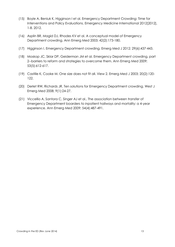- (15) Boyle A, Beniuk K, Higginson I et al. Emergency Department Crowding: Time for Interventions and Policy Evaluations. Emergency Medicine International 2012[2012], 1-8. 2012.
- (16) Asplin BR, Magid DJ, Rhodes KV et al. A conceptual model of Emergency Department crowding. Ann Emerg Med 2003; 42(2):173-180.
- (17) Higginson I. Emergency Department crowding. Emerg Med J 2012; 29(6):437-443.
- (18) Moskop JC, Sklar DP, Geiderman JM et al. Emergency Department crowding, part 2--barriers to reform and strategies to overcome them. Ann Emerg Med 2009; 53(5):612-617.
- (19) Castille K, Cooke M. One size does not fit all. View 2. Emerg Med J 2003; 20(2):120- 122.
- (20) Derlet RW, Richards JR. Ten solutions for Emergency Department crowding. West J Emerg Med 2008; 9(1):24-27.
- (21) Viccellio A, Santora C, Singer AJ et al.. The association between transfer of Emergency Department boarders to inpatient hallways and mortality: a 4-year experience. Ann Emerg Med 2009; 54(4):487-491.